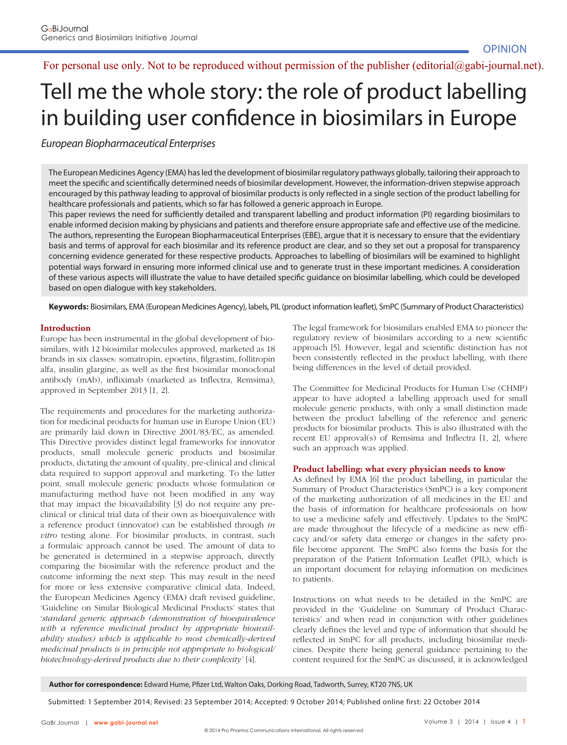# For personal use only. Not to be reproduced without permission of the publisher (editorial@gabi-journal.net).

# Tell me the whole story: the role of product labelling in building user confidence in biosimilars in Europe

European Biopharmaceutical Enterprises

The European Medicines Agency (EMA) has led the development of biosimilar regulatory pathways globally, tailoring their approach to meet the specific and scientifically determined needs of biosimilar development. However, the information-driven stepwise approach encouraged by this pathway leading to approval of biosimilar products is only reflected in a single section of the product labelling for healthcare professionals and patients, which so far has followed a generic approach in Europe.

This paper reviews the need for sufficiently detailed and transparent labelling and product information (PI) regarding biosimilars to enable informed decision making by physicians and patients and therefore ensure appropriate safe and effective use of the medicine. The authors, representing the European Biopharmaceutical Enterprises (EBE), argue that it is necessary to ensure that the evidentiary basis and terms of approval for each biosimilar and its reference product are clear, and so they set out a proposal for transparency concerning evidence generated for these respective products. Approaches to labelling of biosimilars will be examined to highlight potential ways forward in ensuring more informed clinical use and to generate trust in these important medicines. A consideration of these various aspects will illustrate the value to have detailed specific quidance on biosimilar labelling, which could be developed based on open dialogue with key stakeholders.

Keywords: Biosimilars, EMA (European Medicines Agency), labels, PIL (product information leaflet), SmPC (Summary of Product Characteristics)

# **Introduction**

Europe has been instrumental in the global development of biosimilars, with 12 biosimilar molecules approved, marketed as 18 brands in six classes: somatropin, epoetins, filgrastim, follitropin alfa, insulin glargine, as well as the first biosimilar monoclonal antibody (mAb), infliximab (marketed as Inflectra, Remsima), approved in September 2013 [1, 2].

The requirements and procedures for the marketing authorization for medicinal products for human use in Europe Union (EU) are primarily laid down in Directive 2001/83/EC, as amended. This Directive provides distinct legal frameworks for innovator products, small molecule generic products and biosimilar products, dictating the amount of quality, pre-clinical and clinical data required to support approval and marketing. To the latter point, small molecule generic products whose formulation or manufacturing method have not been modified in any way that may impact the bioavailability [3] do not require any preclinical or clinical trial data of their own as bioequivalence with a reference product (innovator) can be established through *in vitro* testing alone. For biosimilar products, in contrast, such a formulaic approach cannot be used. The amount of data to be generated is determined in a stepwise approach, directly comparing the biosimilar with the reference product and the outcome informing the next step. This may result in the need for more or less extensive comparative clinical data. Indeed, the European Medicines Agency (EMA) draft revised guideline, 'Guideline on Similar Biological Medicinal Products' states that '*standard generic approach (demonstration of bioequivalence with a reference medicinal product by appropriate bioavailability studies) which is applicable to most chemically-derived medicinal products is in principle not appropriate to biological/ biotechnology-derived products due to their complexity'* [4].

The legal framework for biosimilars enabled EMA to pioneer the regulatory review of biosimilars according to a new scientific approach [5]. However, legal and scientific distinction has not been consistently reflected in the product labelling, with there being differences in the level of detail provided.

The Committee for Medicinal Products for Human Use (CHMP) appear to have adopted a labelling approach used for small molecule generic products, with only a small distinction made between the product labelling of the reference and generic products for biosimilar products. This is also illustrated with the recent EU approval $(s)$  of Remsima and Inflectra  $[1, 2]$ , where such an approach was applied.

#### **Product labelling: what every physician needs to know**

As defined by EMA [6] the product labelling, in particular the Summary of Product Characteristics (SmPC) is a key component of the marketing authorization of all medicines in the EU and the basis of information for healthcare professionals on how to use a medicine safely and effectively. Updates to the SmPC are made throughout the lifecycle of a medicine as new efficacy and/or safety data emerge or changes in the safety profile become apparent. The SmPC also forms the basis for the preparation of the Patient Information Leaflet (PIL), which is an important document for relaying information on medicines to patients.

Instructions on what needs to be detailed in the SmPC are provided in the 'Guideline on Summary of Product Characteristics' and when read in conjunction with other guidelines clearly defines the level and type of information that should be reflected in SmPC for all products, including biosimilar medicines. Despite there being general guidance pertaining to the content required for the SmPC as discussed, it is acknowledged

Author for correspondence: Edward Hume, Pfizer Ltd, Walton Oaks, Dorking Road, Tadworth, Surrey, KT20 7NS, UK

Submitted: 1 September 2014; Revised: 23 September 2014; Accepted: 9 October 2014; Published online first: 22 October 2014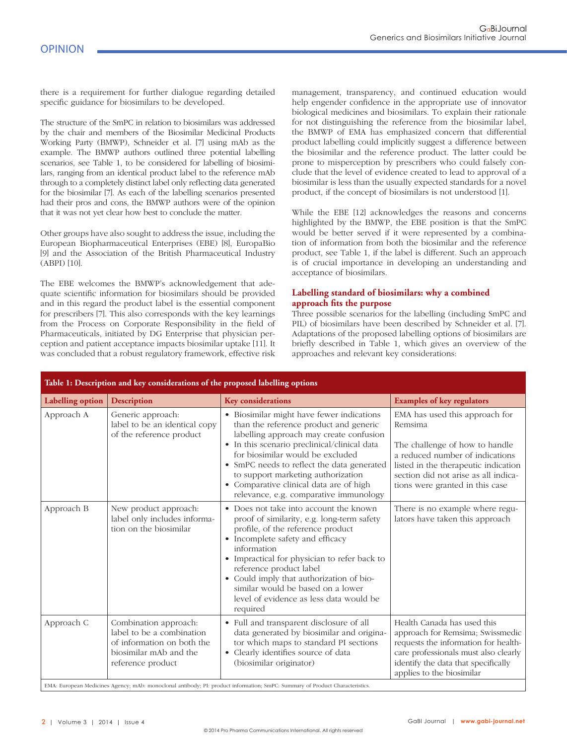there is a requirement for further dialogue regarding detailed specific guidance for biosimilars to be developed.

The structure of the SmPC in relation to biosimilars was addressed by the chair and members of the Biosimilar Medicinal Products Working Party (BMWP), Schneider et al. [7] using mAb as the example. The BMWP authors outlined three potential labelling scenarios, see Table 1, to be considered for labelling of biosimilars, ranging from an identical product label to the reference mAb through to a completely distinct label only reflecting data generated for the biosimilar [7]. As each of the labelling scenarios presented had their pros and cons, the BMWP authors were of the opinion that it was not yet clear how best to conclude the matter.

Other groups have also sought to address the issue, including the European Biopharmaceutical Enterprises (EBE) [8], EuropaBio [9] and the Association of the British Pharmaceutical Industry (ABPI) [10].

The EBE welcomes the BMWP's acknowledgement that adequate scientific information for biosimilars should be provided and in this regard the product label is the essential component for prescribers [7]. This also corresponds with the key learnings from the Process on Corporate Responsibility in the field of Pharmaceuticals, initiated by DG Enterprise that physician perception and patient acceptance impacts biosimilar uptake [11]. It was concluded that a robust regulatory framework, effective risk

management, transparency, and continued education would help engender confidence in the appropriate use of innovator biological medicines and biosimilars. To explain their rationale for not distinguishing the reference from the biosimilar label, the BMWP of EMA has emphasized concern that differential product labelling could implicitly suggest a difference between the biosimilar and the reference product. The latter could be prone to misperception by prescribers who could falsely conclude that the level of evidence created to lead to approval of a biosimilar is less than the usually expected standards for a novel product, if the concept of biosimilars is not understood [1].

While the EBE [12] acknowledges the reasons and concerns highlighted by the BMWP, the EBE position is that the SmPC would be better served if it were represented by a combination of information from both the biosimilar and the reference product, see Table 1, if the label is different. Such an approach is of crucial importance in developing an understanding and acceptance of biosimilars.

# **Labelling standard of biosimilars: why a combined**  approach fits the purpose

Three possible scenarios for the labelling (including SmPC and PIL) of biosimilars have been described by Schneider et al. [7]. Adaptations of the proposed labelling options of biosimilars are briefly described in Table 1, which gives an overview of the approaches and relevant key considerations:

| Table 1: Description and key considerations of the proposed labelling options                                              |                                                                                                                                 |                                                                                                                                                                                                                                                                                                                                                                                                 |                                                                                                                                                                                                                                   |
|----------------------------------------------------------------------------------------------------------------------------|---------------------------------------------------------------------------------------------------------------------------------|-------------------------------------------------------------------------------------------------------------------------------------------------------------------------------------------------------------------------------------------------------------------------------------------------------------------------------------------------------------------------------------------------|-----------------------------------------------------------------------------------------------------------------------------------------------------------------------------------------------------------------------------------|
| Labelling option                                                                                                           | <b>Description</b>                                                                                                              | <b>Key considerations</b>                                                                                                                                                                                                                                                                                                                                                                       | <b>Examples of key regulators</b>                                                                                                                                                                                                 |
| Approach A                                                                                                                 | Generic approach:<br>label to be an identical copy<br>of the reference product                                                  | • Biosimilar might have fewer indications<br>than the reference product and generic<br>labelling approach may create confusion<br>• In this scenario preclinical/clinical data<br>for biosimilar would be excluded<br>• SmPC needs to reflect the data generated<br>to support marketing authorization<br>• Comparative clinical data are of high<br>relevance, e.g. comparative immunology     | EMA has used this approach for<br>Remsima<br>The challenge of how to handle<br>a reduced number of indications<br>listed in the therapeutic indication<br>section did not arise as all indica-<br>tions were granted in this case |
| Approach B                                                                                                                 | New product approach:<br>label only includes informa-<br>tion on the biosimilar                                                 | • Does not take into account the known<br>proof of similarity, e.g. long-term safety<br>profile, of the reference product<br>• Incomplete safety and efficacy<br>information<br>• Impractical for physician to refer back to<br>reference product label<br>• Could imply that authorization of bio-<br>similar would be based on a lower<br>level of evidence as less data would be<br>required | There is no example where regu-<br>lators have taken this approach                                                                                                                                                                |
| Approach C                                                                                                                 | Combination approach:<br>label to be a combination<br>of information on both the<br>biosimilar mAb and the<br>reference product | • Full and transparent disclosure of all<br>data generated by biosimilar and origina-<br>tor which maps to standard PI sections<br>• Clearly identifies source of data<br>(biosimilar originator)                                                                                                                                                                                               | Health Canada has used this<br>approach for Remsima; Swissmedic<br>requests the information for health-<br>care professionals must also clearly<br>identify the data that specifically<br>applies to the biosimilar               |
| EMA, European Medicines Aconou, mAb, monoclopel entibody. PL product information, SmPC, Summery of Broduct Characteristics |                                                                                                                                 |                                                                                                                                                                                                                                                                                                                                                                                                 |                                                                                                                                                                                                                                   |

EMA: European Medicines Agency; mAb: monoclonal antibody; PI: product information; SmPC: Summary of Product Characteristics.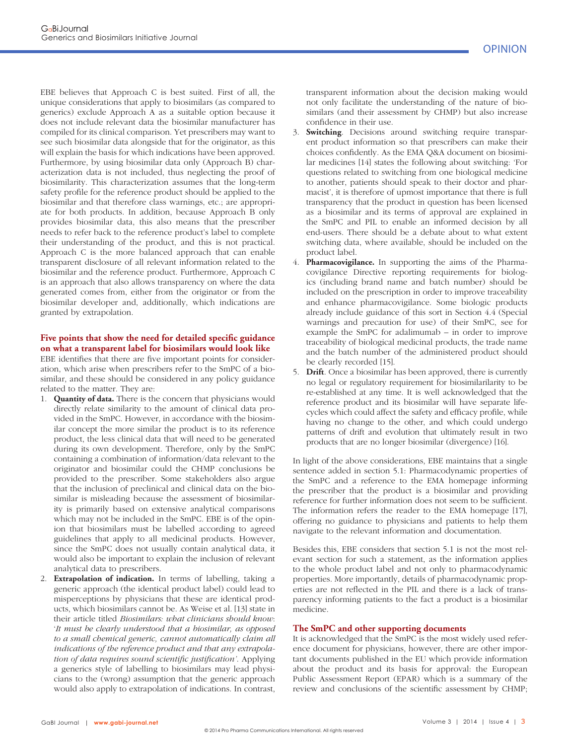EBE believes that Approach C is best suited. First of all, the unique considerations that apply to biosimilars (as compared to generics) exclude Approach A as a suitable option because it does not include relevant data the biosimilar manufacturer has compiled for its clinical comparison. Yet prescribers may want to see such biosimilar data alongside that for the originator, as this will explain the basis for which indications have been approved. Furthermore, by using biosimilar data only (Approach B) characterization data is not included, thus neglecting the proof of biosimilarity. This characterization assumes that the long-term safety profile for the reference product should be applied to the biosimilar and that therefore class warnings, etc.; are appropriate for both products. In addition, because Approach B only provides biosimilar data, this also means that the prescriber needs to refer back to the reference product's label to complete their understanding of the product, and this is not practical. Approach C is the more balanced approach that can enable transparent disclosure of all relevant information related to the biosimilar and the reference product. Furthermore, Approach C is an approach that also allows transparency on where the data generated comes from, either from the originator or from the biosimilar developer and, additionally, which indications are granted by extrapolation.

# Five points that show the need for detailed specific guidance **on what a transparent label for biosimilars would look like**

EBE identifies that there are five important points for consideration, which arise when prescribers refer to the SmPC of a biosimilar, and these should be considered in any policy guidance related to the matter. They are:

- 1. **Quantity of data.** There is the concern that physicians would directly relate similarity to the amount of clinical data provided in the SmPC. However, in accordance with the biosimilar concept the more similar the product is to its reference product, the less clinical data that will need to be generated during its own development. Therefore, only by the SmPC containing a combination of information/data relevant to the originator and biosimilar could the CHMP conclusions be provided to the prescriber. Some stakeholders also argue that the inclusion of preclinical and clinical data on the biosimilar is misleading because the assessment of biosimilarity is primarily based on extensive analytical comparisons which may not be included in the SmPC. EBE is of the opinion that biosimilars must be labelled according to agreed guidelines that apply to all medicinal products. However, since the SmPC does not usually contain analytical data, it would also be important to explain the inclusion of relevant analytical data to prescribers.
- 2. **Extrapolation of indication.** In terms of labelling, taking a generic approach (the identical product label) could lead to misperceptions by physicians that these are identical products, which biosimilars cannot be. As Weise et al. [13] state in their article titled *Biosimilars: what clinicians should know*: '*It must be clearly understood that a biosimilar, as opposed to a small chemical generic, cannot automatically claim all indications of the reference product and that any extrapolation of data requires sound scientific justification'*. Applying a generics style of labelling to biosimilars may lead physicians to the (wrong) assumption that the generic approach would also apply to extrapolation of indications. In contrast,

transparent information about the decision making would not only facilitate the understanding of the nature of biosimilars (and their assessment by CHMP) but also increase confidence in their use.

- 3. **Switching**. Decisions around switching require transparent product information so that prescribers can make their choices confidently. As the EMA Q&A document on biosimilar medicines [14] states the following about switching: 'For questions related to switching from one biological medicine to another, patients should speak to their doctor and pharmacist', it is therefore of upmost importance that there is full transparency that the product in question has been licensed as a biosimilar and its terms of approval are explained in the SmPC and PIL to enable an informed decision by all end-users. There should be a debate about to what extent switching data, where available, should be included on the product label.
- 4. **Pharmacovigilance.** In supporting the aims of the Pharmacovigilance Directive reporting requirements for biologics (including brand name and batch number) should be included on the prescription in order to improve traceability and enhance pharmacovigilance. Some biologic products already include guidance of this sort in Section 4.4 (Special warnings and precaution for use) of their SmPC, see for example the SmPC for adalimumab – in order to improve traceability of biological medicinal products, the trade name and the batch number of the administered product should be clearly recorded [15].
- 5. **Drift**. Once a biosimilar has been approved, there is currently no legal or regulatory requirement for biosimilarilarity to be re-established at any time. It is well acknowledged that the reference product and its biosimilar will have separate lifecycles which could affect the safety and efficacy profile, while having no change to the other, and which could undergo patterns of drift and evolution that ultimately result in two products that are no longer biosimilar (divergence) [16].

In light of the above considerations, EBE maintains that a single sentence added in section 5.1: Pharmacodynamic properties of the SmPC and a reference to the EMA homepage informing the prescriber that the product is a biosimilar and providing reference for further information does not seem to be sufficient. The information refers the reader to the EMA homepage [17], offering no guidance to physicians and patients to help them navigate to the relevant information and documentation.

Besides this, EBE considers that section 5.1 is not the most relevant section for such a statement, as the information applies to the whole product label and not only to pharmacodynamic properties. More importantly, details of pharmacodynamic properties are not reflected in the PIL and there is a lack of transparency informing patients to the fact a product is a biosimilar medicine.

#### **The SmPC and other supporting documents**

It is acknowledged that the SmPC is the most widely used reference document for physicians, however, there are other important documents published in the EU which provide information about the product and its basis for approval: the European Public Assessment Report (EPAR) which is a summary of the review and conclusions of the scientific assessment by CHMP;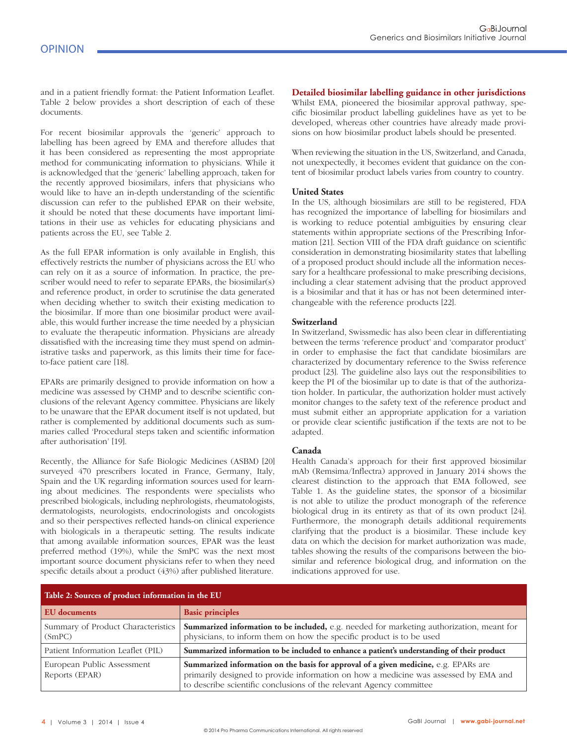and in a patient friendly format: the Patient Information Leaflet. Table 2 below provides a short description of each of these documents.

For recent biosimilar approvals the 'generic' approach to labelling has been agreed by EMA and therefore alludes that it has been considered as representing the most appropriate method for communicating information to physicians. While it is acknowledged that the 'generic' labelling approach, taken for the recently approved biosimilars, infers that physicians who would like to have an in-depth understanding of the scientific discussion can refer to the published EPAR on their website, it should be noted that these documents have important limitations in their use as vehicles for educating physicians and patients across the EU, see Table 2.

As the full EPAR information is only available in English, this effectively restricts the number of physicians across the EU who can rely on it as a source of information. In practice, the prescriber would need to refer to separate EPARs, the biosimilar(s) and reference product, in order to scrutinise the data generated when deciding whether to switch their existing medication to the biosimilar. If more than one biosimilar product were available, this would further increase the time needed by a physician to evaluate the therapeutic information. Physicians are already dissatisfied with the increasing time they must spend on administrative tasks and paperwork, as this limits their time for faceto-face patient care [18].

EPARs are primarily designed to provide information on how a medicine was assessed by CHMP and to describe scientific conclusions of the relevant Agency committee. Physicians are likely to be unaware that the EPAR document itself is not updated, but rather is complemented by additional documents such as summaries called 'Procedural steps taken and scientific information after authorisation' [19].

Recently, the Alliance for Safe Biologic Medicines (ASBM) [20] surveyed 470 prescribers located in France, Germany, Italy, Spain and the UK regarding information sources used for learning about medicines. The respondents were specialists who prescribed biologicals, including nephrologists, rheumatologists, dermatologists, neurologists, endocrinologists and oncologists and so their perspectives reflected hands-on clinical experience with biologicals in a therapeutic setting. The results indicate that among available information sources, EPAR was the least preferred method (19%), while the SmPC was the next most important source document physicians refer to when they need specific details about a product (43%) after published literature.

## **Detailed biosimilar labelling guidance in other jurisdictions**

Whilst EMA, pioneered the biosimilar approval pathway, specific biosimilar product labelling guidelines have as yet to be developed, whereas other countries have already made provisions on how biosimilar product labels should be presented.

When reviewing the situation in the US, Switzerland, and Canada, not unexpectedly, it becomes evident that guidance on the content of biosimilar product labels varies from country to country.

#### **United States**

In the US, although biosimilars are still to be registered, FDA has recognized the importance of labelling for biosimilars and is working to reduce potential ambiguities by ensuring clear statements within appropriate sections of the Prescribing Information [21]. Section VIII of the FDA draft guidance on scientific consideration in demonstrating biosimilarity states that labelling of a proposed product should include all the information necessary for a healthcare professional to make prescribing decisions, including a clear statement advising that the product approved is a biosimilar and that it has or has not been determined interchangeable with the reference products [22].

#### **Switzerland**

In Switzerland, Swissmedic has also been clear in differentiating between the terms 'reference product' and 'comparator product' in order to emphasise the fact that candidate biosimilars are characterized by documentary reference to the Swiss reference product [23]. The guideline also lays out the responsibilities to keep the PI of the biosimilar up to date is that of the authorization holder. In particular, the authorization holder must actively monitor changes to the safety text of the reference product and must submit either an appropriate application for a variation or provide clear scientific justification if the texts are not to be adapted.

#### **Canada**

Health Canada's approach for their first approved biosimilar mAb (Remsima/Inflectra) approved in January 2014 shows the clearest distinction to the approach that EMA followed, see Table 1. As the guideline states, the sponsor of a biosimilar is not able to utilize the product monograph of the reference biological drug in its entirety as that of its own product [24]. Furthermore, the monograph details additional requirements clarifying that the product is a biosimilar. These include key data on which the decision for market authorization was made, tables showing the results of the comparisons between the biosimilar and reference biological drug, and information on the indications approved for use.

| Table 2: Sources of product information in the EU |                                                                                                                                                                                                                                                      |  |  |
|---------------------------------------------------|------------------------------------------------------------------------------------------------------------------------------------------------------------------------------------------------------------------------------------------------------|--|--|
| EU documents                                      | <b>Basic principles</b>                                                                                                                                                                                                                              |  |  |
| Summary of Product Characteristics<br>(SmPC)      | <b>Summarized information to be included,</b> e.g. needed for marketing authorization, meant for<br>physicians, to inform them on how the specific product is to be used                                                                             |  |  |
| Patient Information Leaflet (PIL)                 | Summarized information to be included to enhance a patient's understanding of their product                                                                                                                                                          |  |  |
| European Public Assessment<br>Reports (EPAR)      | Summarized information on the basis for approval of a given medicine, $e.g.$ EPARs are<br>primarily designed to provide information on how a medicine was assessed by EMA and<br>to describe scientific conclusions of the relevant Agency committee |  |  |

4 | Volume 3 | 2014 | Issue 4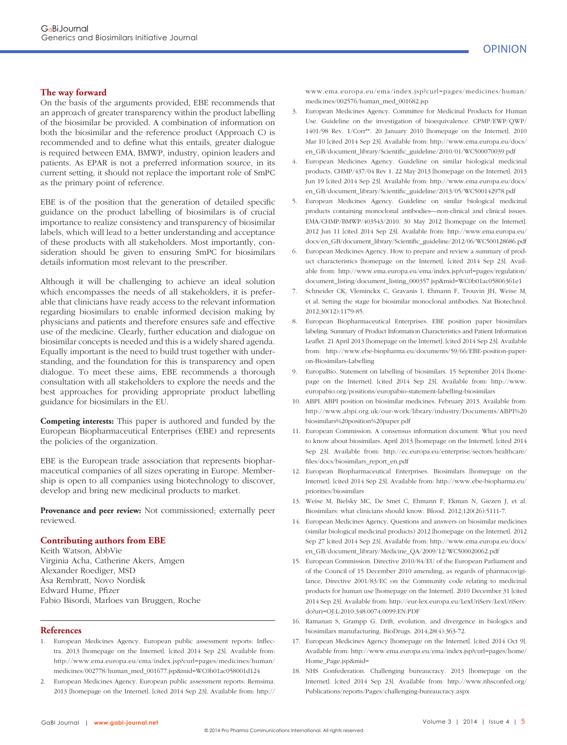#### **The way forward**

On the basis of the arguments provided, EBE recommends that an approach of greater transparency within the product labelling of the biosimilar be provided. A combination of information on both the biosimilar and the reference product (Approach C) is recommended and to define what this entails, greater dialogue is required between EMA, BMWP, industry, opinion leaders and patients. As EPAR is not a preferred information source, in its current setting, it should not replace the important role of SmPC as the primary point of reference.

EBE is of the position that the generation of detailed specific guidance on the product labelling of biosimilars is of crucial importance to realize consistency and transparency of biosimilar labels, which will lead to a better understanding and acceptance of these products with all stakeholders. Most importantly, consideration should be given to ensuring SmPC for biosimilars details information most relevant to the prescriber.

Although it will be challenging to achieve an ideal solution which encompasses the needs of all stakeholders, it is preferable that clinicians have ready access to the relevant information regarding biosimilars to enable informed decision making by physicians and patients and therefore ensures safe and effective use of the medicine. Clearly, further education and dialogue on biosimilar concepts is needed and this is a widely shared agenda. Equally important is the need to build trust together with understanding, and the foundation for this is transparency and open dialogue. To meet these aims, EBE recommends a thorough consultation with all stakeholders to explore the needs and the best approaches for providing appropriate product labelling guidance for biosimilars in the EU.

**Competing interests:** This paper is authored and funded by the European Biopharmaceutical Enterprises (EBE) and represents the policies of the organization.

EBE is the European trade association that represents biopharmaceutical companies of all sizes operating in Europe. Membership is open to all companies using biotechnology to discover, develop and bring new medicinal products to market.

**Provenance and peer review:** Not commissioned; externally peer reviewed.

#### **Contributing authors from EBE**

Keith Watson, AbbVie Virginia Acha, Catherine Akers, Amgen Alexander Roediger, MSD Åsa Rembratt, Novo Nordisk Edward Hume, Pfizer Fabio Bisordi, Marloes van Bruggen, Roche

#### **References**

- 1. European Medicines Agency. European public assessment reports: Inflectra. 2013 [homepage on the Internet]. [cited 2014 Sep 23]. Available from: http://www.ema.europa.eu/ema/index.jsp?curl=pages/medicines/human/ medicines/002778/human\_med\_001677.jsp&mid=WC0b01ac058001d124
- 2. European Medicines Agency. European public assessment reports: Remsima. 2013 [homepage on the Internet]. [cited 2014 Sep 23]. Available from: http://

www.ema.europa.eu/ema/index.jsp?curl=pages/medicines/human/ medicines/002576/human\_med\_001682.jsp

- 3. European Medicines Agency. Committee for Medicinal Products for Human Use. Guideline on the investigation of bioequivalence. CPMP/EWP/QWP/ 1401/98 Rev. 1/Corr\*\*. 20 January 2010 [homepage on the Internet]. 2010 Mar 10 [cited 2014 Sep 23]. Available from: http://www.ema.europa.eu/docs/ en\_GB/document\_library/Scientific\_guideline/2010/01/WC500070039.pdf
- 4. European Medicines Agency. Guideline on similar biological medicinal products. CHMP/437/04 Rev 1. 22 May 2013 [homepage on the Internet]. 2013 Jun 19 [cited 2014 Sep 23]. Available from: http://www.ema.europa.eu/docs/ en\_GB/document\_library/Scientific\_guideline/2013/05/WC500142978.pdf
- 5. European Medicines Agency. Guideline on similar biological medicinal products containing monoclonal antibodies—non-clinical and clinical issues. EMA/CHMP/BMWP/403543/2010. 30 May 2012 [homepage on the Internet]. 2012 Jun 11 [cited 2014 Sep 23]. Available from: http://www.ema.europa.eu/ docs/en\_GB/document\_library/Scientific\_guideline/2012/06/WC500128686.pdf
- 6. European Medicines Agency. How to prepare and review a summary of product characteristics [homepage on the Internet]. [cited 2014 Sep 23]. Available from: http://www.ema.europa.eu/ema/index.jsp?curl=pages/regulation/ document\_listing/document\_listing\_000357.jsp&mid=WC0b01ac05806361e1
- 7. Schneider CK, Vleminckx C, Gravanis I, Ehmann F, Trouvin JH, Weise M, et al. Setting the stage for biosimilar monoclonal antibodies. Nat Biotechnol. 2012;30(12):1179-85.
- 8. European Biopharmaceutical Enterprises. EBE position paper biosimilars labeling. Summary of Product Information Characteristics and Patient Information Leaflet. 21 April 2013 [homepage on the Internet]. [cited 2014 Sep 23]. Available from: http://www.ebe-biopharma.eu/documents/59/66/EBE-position-paperon-Biosimilars-Labelling
- 9. EuropaBio. Statement on labelling of biosimilars. 15 September 2014 [homepage on the Internet]. [cited 2014 Sep 23]. Available from: http://www. europabio.org/positions/europabio-statement-labelling-biosimilars
- 10. ABPI. ABPI position on biosimilar medicines. February 2013. Available from: http://www.abpi.org.uk/our-work/library/industry/Documents/ABPI%20 biosimilars%20position%20paper.pdf
- 11. European Commission. A consensus information document. What you need to know about biosimilars. April 2013 [homepage on the Internet]. [cited 2014 Sep 23]. Available from: http://ec.europa.eu/enterprise/sectors/healthcare/ fi les/docs/biosimilars\_report\_en.pdf
- 12. European Biopharmaceutical Enterprises. Biosimilars [homepage on the Internet]. [cited 2014 Sep 23]. Available from: http://www.ebe-biopharma.eu/ priorities/biosimilars
- 13. Weise M, Bielsky MC, De Smet C, Ehmann F, Ekman N, Giezen J, et al. Biosimilars: what clinicians should know. Blood. 2012;120(26):5111-7.
- 14. European Medicines Agency. Questions and answers on biosimilar medicines (similar biological medicinal products) 2012 [homepage on the Internet]. 2012 Sep 27 [cited 2014 Sep 23]. Available from: http://www.ema.europa.eu/docs/ en\_GB/document\_library/Medicine\_QA/2009/12/WC500020062.pdf
- 15. European Commission. Directive 2010/84/EU of the European Parliament and of the Council of 15 December 2010 amending, as regards of pharmacovigilance, Directive 2001/83/EC on the Community code relating to medicinal products for human use [homepage on the Internet]. 2010 December 31 [cited 2014 Sep 23]. Available from: http://eur-lex.europa.eu/LexUriServ/LexUriServ. do?uri=OJ:L:2010:348:0074:0099:EN:PDF
- 16. Ramanan S, Grampp G. Drift, evolution, and divergence in biologics and biosimilars manufacturing. BioDrugs. 2014;28(4):363-72.
- 17. European Medicines Agency [homepage on the Internet]. [cited 2014 Oct 9]. Available from: http://www.ema.europa.eu/ema/index.jsp?curl=pages/home/ Home\_Page.jsp&mid=
- 18. NHS Confederation. Challenging bureaucracy. 2013 [homepage on the Internet]. [cited 2014 Sep 23]. Available from: http://www.nhsconfed.org/ Publications/reports/Pages/challenging-bureaucracy.aspx